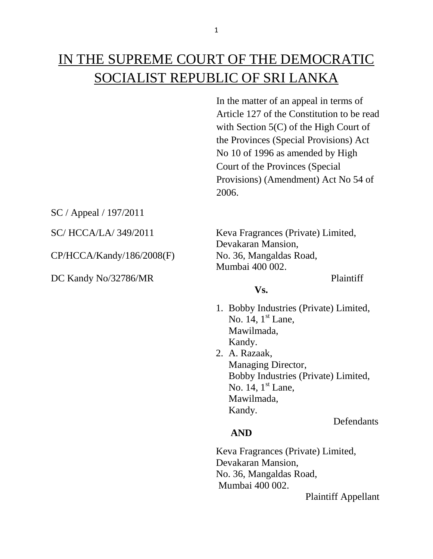# IN THE SUPREME COURT OF THE DEMOCRATIC SOCIALIST REPUBLIC OF SRI LANKA

In the matter of an appeal in terms of Article 127 of the Constitution to be read with Section 5(C) of the High Court of the Provinces (Special Provisions) Act No 10 of 1996 as amended by High Court of the Provinces (Special Provisions) (Amendment) Act No 54 of 2006.

SC / Appeal / 197/2011

CP/HCCA/Kandy/186/2008(F) No. 36, Mangaldas Road,

DC Kandy No/32786/MR Plaintiff

SC/ HCCA/LA/ 349/2011 Keva Fragrances (Private) Limited, Devakaran Mansion, Mumbai 400 002.

#### **Vs.**

- 1. Bobby Industries (Private) Limited, No. 14,  $1<sup>st</sup>$  Lane, Mawilmada, Kandy.
- 2. A. Razaak, Managing Director, Bobby Industries (Private) Limited, No. 14,  $1<sup>st</sup>$  Lane, Mawilmada, Kandy.

## **Defendants**

# **AND**

 Keva Fragrances (Private) Limited, Devakaran Mansion, No. 36, Mangaldas Road, Mumbai 400 002.

Plaintiff Appellant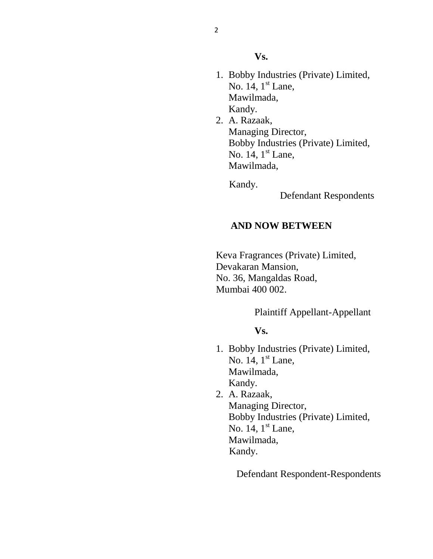#### **Vs.**

- 1. Bobby Industries (Private) Limited, No. 14,  $1<sup>st</sup>$  Lane, Mawilmada, Kandy.
- 2. A. Razaak, Managing Director, Bobby Industries (Private) Limited, No. 14,  $1<sup>st</sup>$  Lane, Mawilmada,

Kandy.

Defendant Respondents

#### **AND NOW BETWEEN**

 Keva Fragrances (Private) Limited, Devakaran Mansion, No. 36, Mangaldas Road, Mumbai 400 002.

Plaintiff Appellant-Appellant

#### **Vs.**

- 1. Bobby Industries (Private) Limited, No. 14,  $1<sup>st</sup>$  Lane, Mawilmada, Kandy.
- 2. A. Razaak, Managing Director, Bobby Industries (Private) Limited, No. 14,  $1<sup>st</sup>$  Lane, Mawilmada, Kandy.

Defendant Respondent-Respondents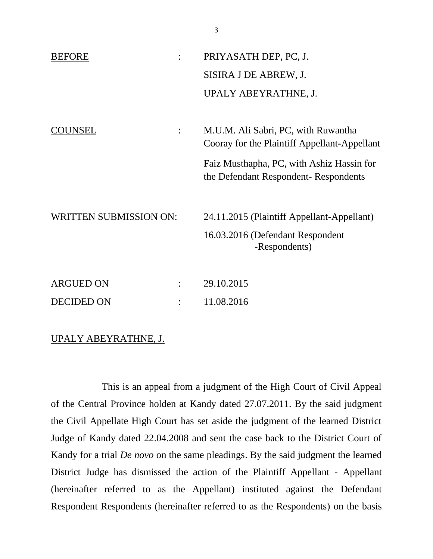| <b>BEFORE</b>                 | PRIYASATH DEP, PC, J.                                                               |  |
|-------------------------------|-------------------------------------------------------------------------------------|--|
|                               | SISIRA J DE ABREW, J.                                                               |  |
|                               | UPALY ABEYRATHNE, J.                                                                |  |
|                               |                                                                                     |  |
| COUNSEL                       | M.U.M. Ali Sabri, PC, with Ruwantha<br>Cooray for the Plaintiff Appellant-Appellant |  |
|                               | Faiz Musthapha, PC, with Ashiz Hassin for<br>the Defendant Respondent-Respondents   |  |
| <b>WRITTEN SUBMISSION ON:</b> | 24.11.2015 (Plaintiff Appellant-Appellant)                                          |  |
|                               | 16.03.2016 (Defendant Respondent<br>-Respondents)                                   |  |
|                               |                                                                                     |  |
| <b>ARGUED ON</b>              | 29.10.2015                                                                          |  |
| <b>DECIDED ON</b>             | 11.08.2016                                                                          |  |

#### UPALY ABEYRATHNE, J.

This is an appeal from a judgment of the High Court of Civil Appeal of the Central Province holden at Kandy dated 27.07.2011. By the said judgment the Civil Appellate High Court has set aside the judgment of the learned District Judge of Kandy dated 22.04.2008 and sent the case back to the District Court of Kandy for a trial *De novo* on the same pleadings. By the said judgment the learned District Judge has dismissed the action of the Plaintiff Appellant - Appellant (hereinafter referred to as the Appellant) instituted against the Defendant Respondent Respondents (hereinafter referred to as the Respondents) on the basis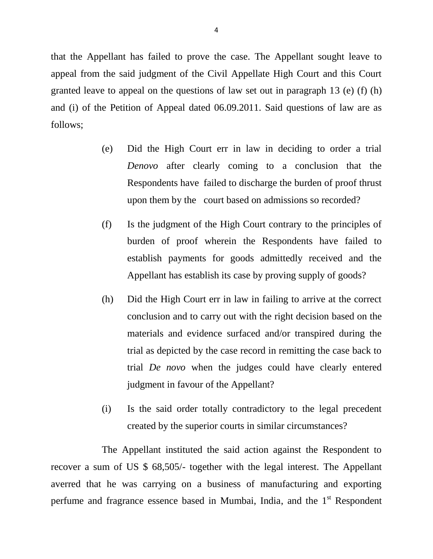that the Appellant has failed to prove the case. The Appellant sought leave to appeal from the said judgment of the Civil Appellate High Court and this Court granted leave to appeal on the questions of law set out in paragraph 13 (e) (f) (h) and (i) of the Petition of Appeal dated 06.09.2011. Said questions of law are as follows;

- (e) Did the High Court err in law in deciding to order a trial *Denovo* after clearly coming to a conclusion that the Respondents have failed to discharge the burden of proof thrust upon them by the court based on admissions so recorded?
- (f) Is the judgment of the High Court contrary to the principles of burden of proof wherein the Respondents have failed to establish payments for goods admittedly received and the Appellant has establish its case by proving supply of goods?
- (h) Did the High Court err in law in failing to arrive at the correct conclusion and to carry out with the right decision based on the materials and evidence surfaced and/or transpired during the trial as depicted by the case record in remitting the case back to trial *De novo* when the judges could have clearly entered judgment in favour of the Appellant?
- (i) Is the said order totally contradictory to the legal precedent created by the superior courts in similar circumstances?

The Appellant instituted the said action against the Respondent to recover a sum of US \$ 68,505/- together with the legal interest. The Appellant averred that he was carrying on a business of manufacturing and exporting perfume and fragrance essence based in Mumbai, India, and the 1<sup>st</sup> Respondent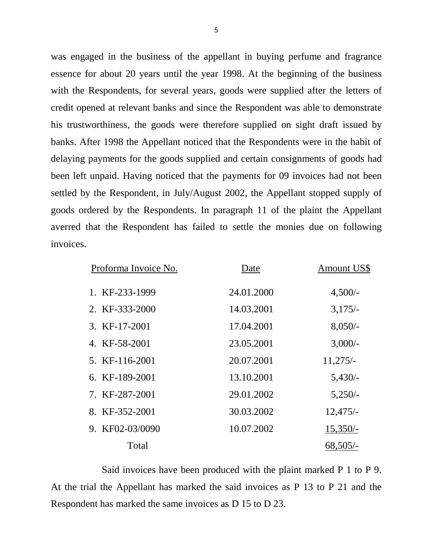was engaged in the business of the appellant in buying perfume and fragrance essence for about 20 years until the year 1998. At the beginning of the business with the Respondents, for several years, goods were supplied after the letters of credit opened at relevant banks and since the Respondent was able to demonstrate his trustworthiness, the goods were therefore supplied on sight draft issued by banks. After 1998 the Appellant noticed that the Respondents were in the habit of delaying payments for the goods supplied and certain consignments of goods had been left unpaid. Having noticed that the payments for 09 invoices had not been settled by the Respondent, in July/August 2002, the Appellant stopped supply of goods ordered by the Respondents. In paragraph 11 of the plaint the Appellant averred that the Respondent has failed to settle the monies due on following invoices.

| Proforma Invoice No. | Date       | <b>Amount US\$</b> |
|----------------------|------------|--------------------|
| 1. KF-233-1999       | 24.01.2000 | $4,500/-$          |
| 2. KF-333-2000       | 14.03.2001 | $3,175/-$          |
| 3. KF-17-2001        | 17.04.2001 | $8,050/-$          |
| 4. KF-58-2001        | 23.05.2001 | $3,000/-$          |
| 5. KF-116-2001       | 20.07.2001 | $11,275/-$         |
| 6. KF-189-2001       | 13.10.2001 | $5,430/-$          |
| 7. KF-287-2001       | 29.01.2002 | 5,250/             |
| 8. KF-352-2001       | 30.03.2002 | $12,475/-$         |
| 9. KF02-03/0090      | 10.07.2002 | $15,350/-$         |
| Total                |            | $68,505/-$         |

Said invoices have been produced with the plaint marked P 1 to P 9. At the trial the Appellant has marked the said invoices as P 13 to P 21 and the Respondent has marked the same invoices as D 15 to D 23.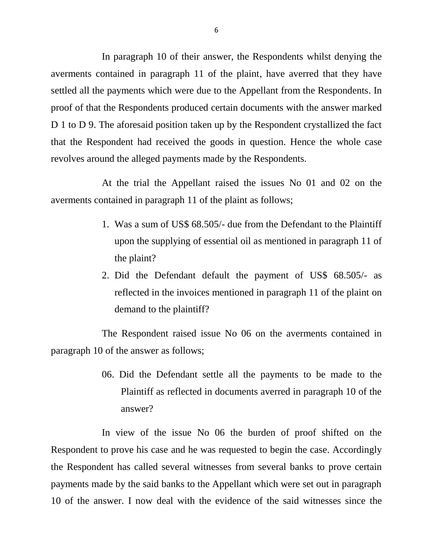In paragraph 10 of their answer, the Respondents whilst denying the averments contained in paragraph 11 of the plaint, have averred that they have settled all the payments which were due to the Appellant from the Respondents. In proof of that the Respondents produced certain documents with the answer marked D 1 to D 9. The aforesaid position taken up by the Respondent crystallized the fact that the Respondent had received the goods in question. Hence the whole case revolves around the alleged payments made by the Respondents.

At the trial the Appellant raised the issues No 01 and 02 on the averments contained in paragraph 11 of the plaint as follows;

- 1. Was a sum of US\$ 68.505/- due from the Defendant to the Plaintiff upon the supplying of essential oil as mentioned in paragraph 11 of the plaint?
- 2. Did the Defendant default the payment of US\$ 68.505/- as reflected in the invoices mentioned in paragraph 11 of the plaint on demand to the plaintiff?

The Respondent raised issue No 06 on the averments contained in paragraph 10 of the answer as follows;

> 06. Did the Defendant settle all the payments to be made to the Plaintiff as reflected in documents averred in paragraph 10 of the answer?

In view of the issue No 06 the burden of proof shifted on the Respondent to prove his case and he was requested to begin the case. Accordingly the Respondent has called several witnesses from several banks to prove certain payments made by the said banks to the Appellant which were set out in paragraph 10 of the answer. I now deal with the evidence of the said witnesses since the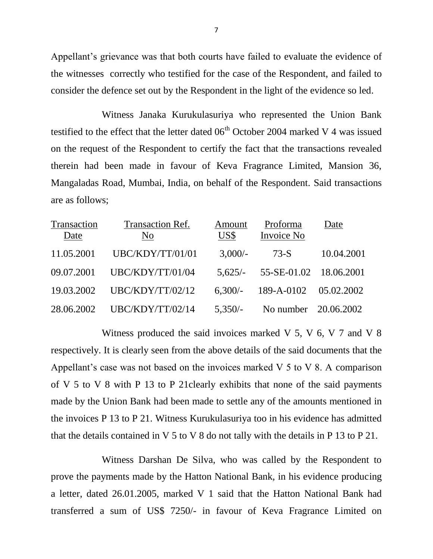Appellant's grievance was that both courts have failed to evaluate the evidence of the witnesses correctly who testified for the case of the Respondent, and failed to consider the defence set out by the Respondent in the light of the evidence so led.

Witness Janaka Kurukulasuriya who represented the Union Bank testified to the effect that the letter dated  $06<sup>th</sup>$  October 2004 marked V 4 was issued on the request of the Respondent to certify the fact that the transactions revealed therein had been made in favour of Keva Fragrance Limited, Mansion 36, Mangaladas Road, Mumbai, India, on behalf of the Respondent. Said transactions are as follows;

| Transaction<br>Date | Transaction Ref.<br>N <sub>0</sub> | Amount<br>US\$ | Proforma<br>Invoice No         | Date       |
|---------------------|------------------------------------|----------------|--------------------------------|------------|
| 11.05.2001          | UBC/KDY/TT/01/01                   | $3,000/-$      | 73-S                           | 10.04.2001 |
| 09.07.2001          | UBC/KDY/TT/01/04                   |                | 5,625/- 55-SE-01.02 18.06.2001 |            |
| 19.03.2002          | UBC/KDY/TT/02/12                   | $6,300/-$      | 189-A-0102 05.02.2002          |            |
| 28.06.2002          | UBC/KDY/TT/02/14                   |                | 5,350/- No number 20.06.2002   |            |

Witness produced the said invoices marked V 5, V 6, V 7 and V 8 respectively. It is clearly seen from the above details of the said documents that the Appellant's case was not based on the invoices marked V 5 to V 8. A comparison of V 5 to V 8 with P 13 to P 21clearly exhibits that none of the said payments made by the Union Bank had been made to settle any of the amounts mentioned in the invoices P 13 to P 21. Witness Kurukulasuriya too in his evidence has admitted that the details contained in V 5 to V 8 do not tally with the details in P 13 to P 21.

Witness Darshan De Silva, who was called by the Respondent to prove the payments made by the Hatton National Bank, in his evidence producing a letter, dated 26.01.2005, marked V 1 said that the Hatton National Bank had transferred a sum of US\$ 7250/- in favour of Keva Fragrance Limited on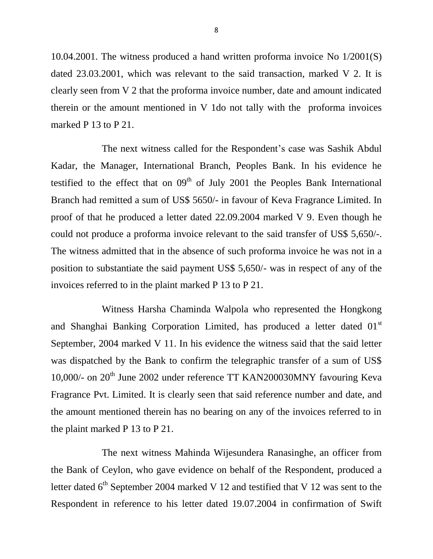10.04.2001. The witness produced a hand written proforma invoice No 1/2001(S) dated 23.03.2001, which was relevant to the said transaction, marked V 2. It is clearly seen from V 2 that the proforma invoice number, date and amount indicated therein or the amount mentioned in V 1do not tally with the proforma invoices marked P 13 to P 21.

The next witness called for the Respondent's case was Sashik Abdul Kadar, the Manager, International Branch, Peoples Bank. In his evidence he testified to the effect that on  $09<sup>th</sup>$  of July 2001 the Peoples Bank International Branch had remitted a sum of US\$ 5650/- in favour of Keva Fragrance Limited. In proof of that he produced a letter dated 22.09.2004 marked V 9. Even though he could not produce a proforma invoice relevant to the said transfer of US\$ 5,650/-. The witness admitted that in the absence of such proforma invoice he was not in a position to substantiate the said payment US\$ 5,650/- was in respect of any of the invoices referred to in the plaint marked P 13 to P 21.

Witness Harsha Chaminda Walpola who represented the Hongkong and Shanghai Banking Corporation Limited, has produced a letter dated 01<sup>st</sup> September, 2004 marked V 11. In his evidence the witness said that the said letter was dispatched by the Bank to confirm the telegraphic transfer of a sum of US\$ 10,000/- on  $20<sup>th</sup>$  June 2002 under reference TT KAN200030MNY favouring Keva Fragrance Pvt. Limited. It is clearly seen that said reference number and date, and the amount mentioned therein has no bearing on any of the invoices referred to in the plaint marked P 13 to P 21.

The next witness Mahinda Wijesundera Ranasinghe, an officer from the Bank of Ceylon, who gave evidence on behalf of the Respondent, produced a letter dated  $6<sup>th</sup>$  September 2004 marked V 12 and testified that V 12 was sent to the Respondent in reference to his letter dated 19.07.2004 in confirmation of Swift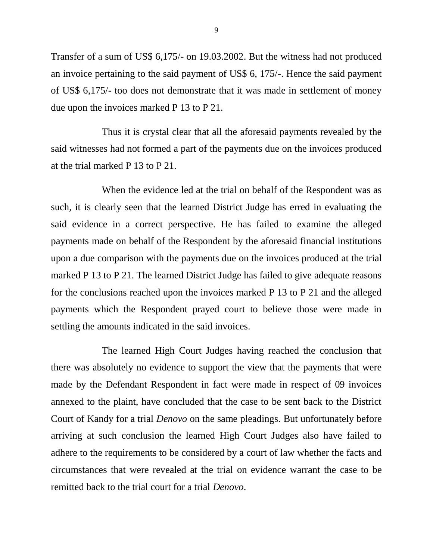Transfer of a sum of US\$ 6,175/- on 19.03.2002. But the witness had not produced an invoice pertaining to the said payment of US\$ 6, 175/-. Hence the said payment of US\$ 6,175/- too does not demonstrate that it was made in settlement of money due upon the invoices marked P 13 to P 21.

Thus it is crystal clear that all the aforesaid payments revealed by the said witnesses had not formed a part of the payments due on the invoices produced at the trial marked P 13 to P 21.

When the evidence led at the trial on behalf of the Respondent was as such, it is clearly seen that the learned District Judge has erred in evaluating the said evidence in a correct perspective. He has failed to examine the alleged payments made on behalf of the Respondent by the aforesaid financial institutions upon a due comparison with the payments due on the invoices produced at the trial marked P 13 to P 21. The learned District Judge has failed to give adequate reasons for the conclusions reached upon the invoices marked P 13 to P 21 and the alleged payments which the Respondent prayed court to believe those were made in settling the amounts indicated in the said invoices.

The learned High Court Judges having reached the conclusion that there was absolutely no evidence to support the view that the payments that were made by the Defendant Respondent in fact were made in respect of 09 invoices annexed to the plaint, have concluded that the case to be sent back to the District Court of Kandy for a trial *Denovo* on the same pleadings. But unfortunately before arriving at such conclusion the learned High Court Judges also have failed to adhere to the requirements to be considered by a court of law whether the facts and circumstances that were revealed at the trial on evidence warrant the case to be remitted back to the trial court for a trial *Denovo*.

9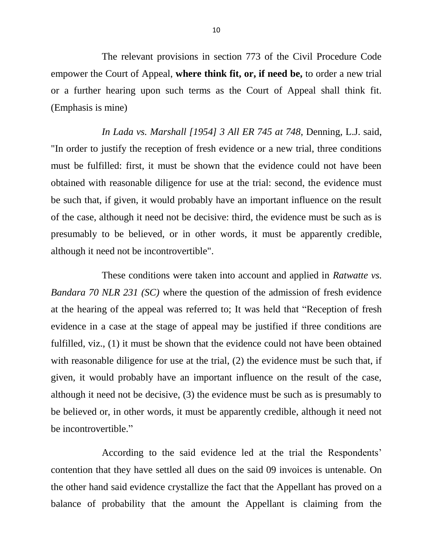The relevant provisions in section 773 of the Civil Procedure Code empower the Court of Appeal, **where think fit, or, if need be,** to order a new trial or a further hearing upon such terms as the Court of Appeal shall think fit. (Emphasis is mine)

*In Lada vs. Marshall [1954] 3 All ER 745 at 748*, Denning, L.J. said, "In order to justify the reception of fresh evidence or a new trial, three conditions must be fulfilled: first, it must be shown that the evidence could not have been obtained with reasonable diligence for use at the trial: second, the evidence must be such that, if given, it would probably have an important influence on the result of the case, although it need not be decisive: third, the evidence must be such as is presumably to be believed, or in other words, it must be apparently credible, although it need not be incontrovertible".

These conditions were taken into account and applied in *Ratwatte vs. Bandara 70 NLR 231 (SC)* where the question of the admission of fresh evidence at the hearing of the appeal was referred to; It was held that "Reception of fresh evidence in a case at the stage of appeal may be justified if three conditions are fulfilled, viz., (1) it must be shown that the evidence could not have been obtained with reasonable diligence for use at the trial, (2) the evidence must be such that, if given, it would probably have an important influence on the result of the case, although it need not be decisive, (3) the evidence must be such as is presumably to be believed or, in other words, it must be apparently credible, although it need not be incontrovertible."

According to the said evidence led at the trial the Respondents' contention that they have settled all dues on the said 09 invoices is untenable. On the other hand said evidence crystallize the fact that the Appellant has proved on a balance of probability that the amount the Appellant is claiming from the